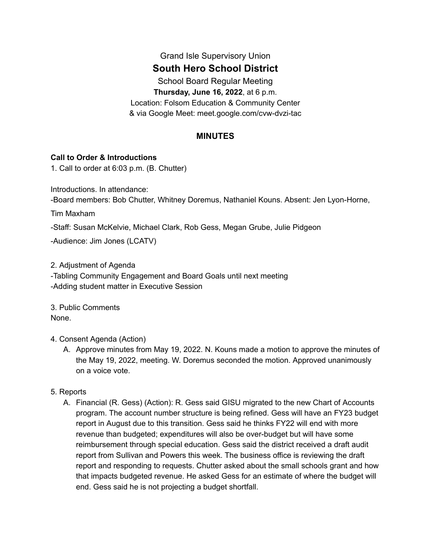# Grand Isle Supervisory Union

# **South Hero School District**

School Board Regular Meeting **Thursday, June 16, 2022**, at 6 p.m. Location: Folsom Education & Community Center & via Google Meet: meet.google.com/cvw-dvzi-tac

## **MINUTES**

### **Call to Order & Introductions**

1. Call to order at 6:03 p.m. (B. Chutter)

Introductions. In attendance:

-Board members: Bob Chutter, Whitney Doremus, Nathaniel Kouns. Absent: Jen Lyon-Horne,

Tim Maxham

-Staff: Susan McKelvie, Michael Clark, Rob Gess, Megan Grube, Julie Pidgeon

-Audience: Jim Jones (LCATV)

2. Adjustment of Agenda

-Tabling Community Engagement and Board Goals until next meeting -Adding student matter in Executive Session

3. Public Comments None.

## 4. Consent Agenda (Action)

A. Approve minutes from May 19, 2022. N. Kouns made a motion to approve the minutes of the May 19, 2022, meeting. W. Doremus seconded the motion. Approved unanimously on a voice vote.

## 5. Reports

A. Financial (R. Gess) (Action): R. Gess said GISU migrated to the new Chart of Accounts program. The account number structure is being refined. Gess will have an FY23 budget report in August due to this transition. Gess said he thinks FY22 will end with more revenue than budgeted; expenditures will also be over-budget but will have some reimbursement through special education. Gess said the district received a draft audit report from Sullivan and Powers this week. The business office is reviewing the draft report and responding to requests. Chutter asked about the small schools grant and how that impacts budgeted revenue. He asked Gess for an estimate of where the budget will end. Gess said he is not projecting a budget shortfall.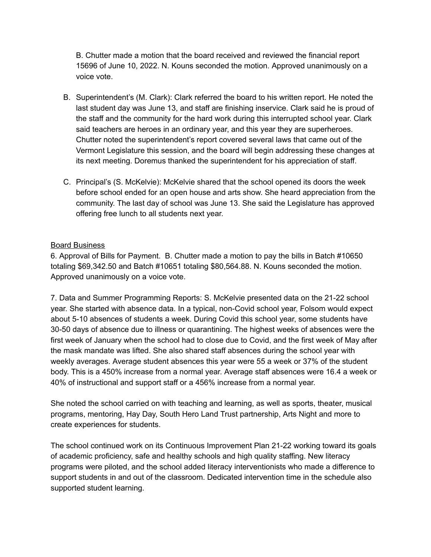B. Chutter made a motion that the board received and reviewed the financial report 15696 of June 10, 2022. N. Kouns seconded the motion. Approved unanimously on a voice vote.

- B. Superintendent's (M. Clark): Clark referred the board to his written report. He noted the last student day was June 13, and staff are finishing inservice. Clark said he is proud of the staff and the community for the hard work during this interrupted school year. Clark said teachers are heroes in an ordinary year, and this year they are superheroes. Chutter noted the superintendent's report covered several laws that came out of the Vermont Legislature this session, and the board will begin addressing these changes at its next meeting. Doremus thanked the superintendent for his appreciation of staff.
- C. Principal's (S. McKelvie): McKelvie shared that the school opened its doors the week before school ended for an open house and arts show. She heard appreciation from the community. The last day of school was June 13. She said the Legislature has approved offering free lunch to all students next year.

### Board Business

6. Approval of Bills for Payment. B. Chutter made a motion to pay the bills in Batch #10650 totaling \$69,342.50 and Batch #10651 totaling \$80,564.88. N. Kouns seconded the motion. Approved unanimously on a voice vote.

7. Data and Summer Programming Reports: S. McKelvie presented data on the 21-22 school year. She started with absence data. In a typical, non-Covid school year, Folsom would expect about 5-10 absences of students a week. During Covid this school year, some students have 30-50 days of absence due to illness or quarantining. The highest weeks of absences were the first week of January when the school had to close due to Covid, and the first week of May after the mask mandate was lifted. She also shared staff absences during the school year with weekly averages. Average student absences this year were 55 a week or 37% of the student body. This is a 450% increase from a normal year. Average staff absences were 16.4 a week or 40% of instructional and support staff or a 456% increase from a normal year.

She noted the school carried on with teaching and learning, as well as sports, theater, musical programs, mentoring, Hay Day, South Hero Land Trust partnership, Arts Night and more to create experiences for students.

The school continued work on its Continuous Improvement Plan 21-22 working toward its goals of academic proficiency, safe and healthy schools and high quality staffing. New literacy programs were piloted, and the school added literacy interventionists who made a difference to support students in and out of the classroom. Dedicated intervention time in the schedule also supported student learning.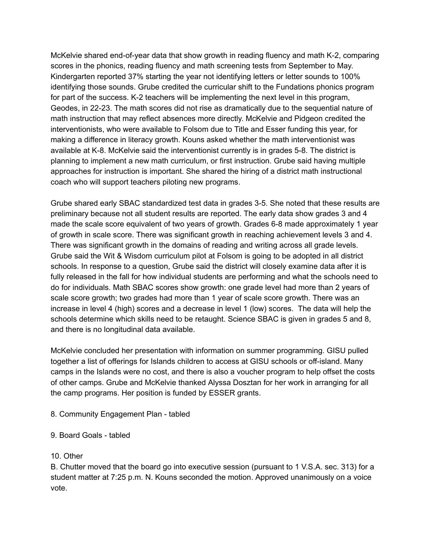McKelvie shared end-of-year data that show growth in reading fluency and math K-2, comparing scores in the phonics, reading fluency and math screening tests from September to May. Kindergarten reported 37% starting the year not identifying letters or letter sounds to 100% identifying those sounds. Grube credited the curricular shift to the Fundations phonics program for part of the success. K-2 teachers will be implementing the next level in this program, Geodes, in 22-23. The math scores did not rise as dramatically due to the sequential nature of math instruction that may reflect absences more directly. McKelvie and Pidgeon credited the interventionists, who were available to Folsom due to Title and Esser funding this year, for making a difference in literacy growth. Kouns asked whether the math interventionist was available at K-8. McKelvie said the interventionist currently is in grades 5-8. The district is planning to implement a new math curriculum, or first instruction. Grube said having multiple approaches for instruction is important. She shared the hiring of a district math instructional coach who will support teachers piloting new programs.

Grube shared early SBAC standardized test data in grades 3-5. She noted that these results are preliminary because not all student results are reported. The early data show grades 3 and 4 made the scale score equivalent of two years of growth. Grades 6-8 made approximately 1 year of growth in scale score. There was significant growth in reaching achievement levels 3 and 4. There was significant growth in the domains of reading and writing across all grade levels. Grube said the Wit & Wisdom curriculum pilot at Folsom is going to be adopted in all district schools. In response to a question, Grube said the district will closely examine data after it is fully released in the fall for how individual students are performing and what the schools need to do for individuals. Math SBAC scores show growth: one grade level had more than 2 years of scale score growth; two grades had more than 1 year of scale score growth. There was an increase in level 4 (high) scores and a decrease in level 1 (low) scores. The data will help the schools determine which skills need to be retaught. Science SBAC is given in grades 5 and 8, and there is no longitudinal data available.

McKelvie concluded her presentation with information on summer programming. GISU pulled together a list of offerings for Islands children to access at GISU schools or off-island. Many camps in the Islands were no cost, and there is also a voucher program to help offset the costs of other camps. Grube and McKelvie thanked Alyssa Dosztan for her work in arranging for all the camp programs. Her position is funded by ESSER grants.

8. Community Engagement Plan - tabled

9. Board Goals - tabled

10. Other

B. Chutter moved that the board go into executive session (pursuant to 1 V.S.A. sec. 313) for a student matter at 7:25 p.m. N. Kouns seconded the motion. Approved unanimously on a voice vote.